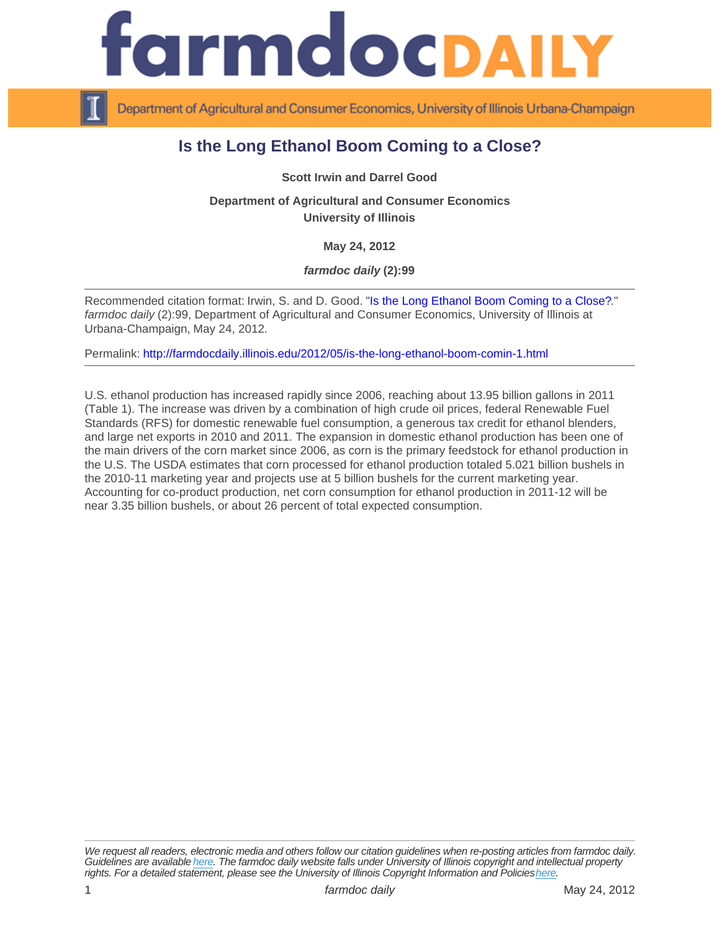## Is the Long Ethanol Boom Coming to a Close?

Scott Irwin and Darrel Good

Department of Agricultural and Consumer Economics University of Illinois

May 24, 2012

farmdoc daily (2):99

Recommended citation format: Irwin, S. and D. Good. "[Is the Long Ethanol Boom Coming to a Close?.](http://farmdocdaily.illinois.edu/2012/05/is-the-long-ethanol-boom-comin-1.html)" farmdoc daily (2):99, Department of Agricultural and Consumer Economics, University of Illinois at Urbana-Champaign, May 24, 2012.

Permalink:<http://farmdocdaily.illinois.edu/2012/05/is-the-long-ethanol-boom-comin-1.html>

U.S. ethanol production has increased rapidly since 2006, reaching about 13.95 billion gallons in 2011 (Table 1). The increase was driven by a combination of high crude oil prices, federal Renewable Fuel Standards (RFS) for domestic renewable fuel consumption, a generous tax credit for ethanol blenders, and large net exports in 2010 and 2011. The expansion in domestic ethanol production has been one of the main drivers of the corn market since 2006, as corn is the primary feedstock for ethanol production in the U.S. The USDA estimates that corn processed for ethanol production totaled 5.021 billion bushels in the 2010-11 marketing year and projects use at 5 billion bushels for the current marketing year. Accounting for co-product production, net corn consumption for ethanol production in 2011-12 will be near 3.35 billion bushels, or about 26 percent of total expected consumption.

We request all readers, electronic media and others follow our citation guidelines when re-posting articles from farmdoc daily. Guidelines are available [here](http://farmdocdaily.illinois.edu/citationguide.html). The farmdoc daily website falls under University of Illinois copyright and intellectual property rights. For a detailed statement, please see the University of Illinois Copyright Information and Policies [here.](https://techservices.illinois.edu/office-cio)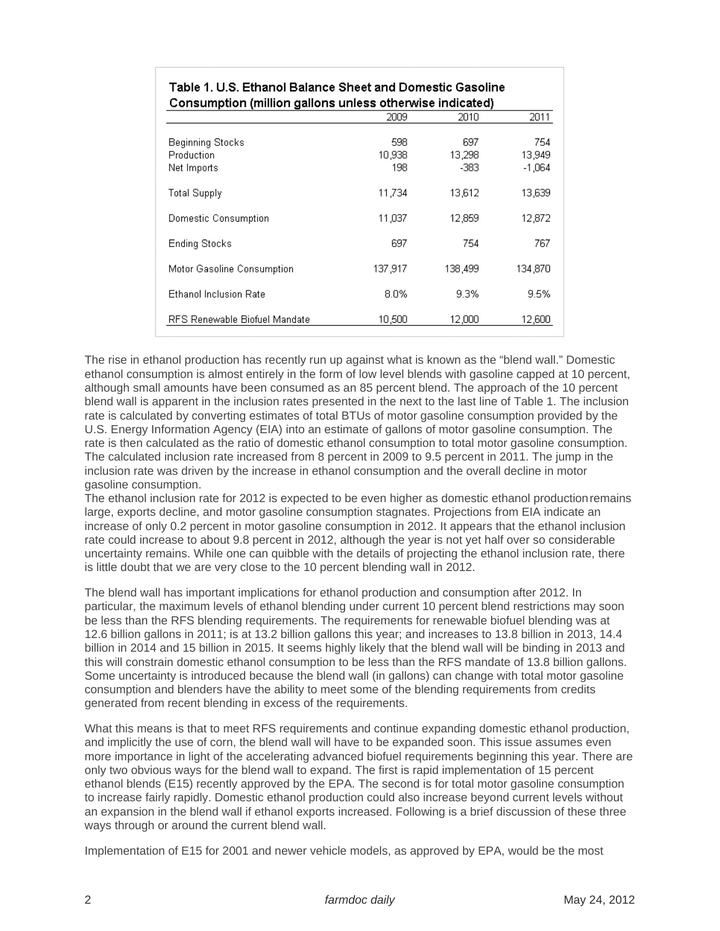| Table 1. U.S. Ethanol Balance Sheet and Domestic Gasoline<br>Consumption (million gallons unless otherwise indicated) |                      |                       |                           |
|-----------------------------------------------------------------------------------------------------------------------|----------------------|-----------------------|---------------------------|
|                                                                                                                       |                      |                       |                           |
| Beginning Stocks<br>Production<br>Net Imports                                                                         | 598<br>10.938<br>198 | 697<br>13.298<br>-383 | 754<br>13,949<br>$-1.064$ |
| <b>Total Supply</b>                                                                                                   | 11.734               | 13.612                | 13,639                    |
| Domestic Consumption                                                                                                  | 11,037               | 12,859                | 12,872                    |
| Ending Stocks                                                                                                         | 697                  | 754                   | 767                       |
| Motor Gasoline Consumption                                                                                            | 137,917              | 138,499               | 134,870                   |
| <b>Ethanol Inclusion Rate</b>                                                                                         | $8.0\%$              | 9.3%                  | 9.5%                      |
| RFS Renewable Biofuel Mandate                                                                                         | 10,500               | 12,000                | 12,600                    |

The rise in ethanol production has recently run up against what is known as the "blend wall." Domestic ethanol consumption is almost entirely in the form of low level blends with gasoline capped at 10 percent, although small amounts have been consumed as an 85 percent blend. The approach of the 10 percent blend wall is apparent in the inclusion rates presented in the next to the last line of Table 1. The inclusion rate is calculated by converting estimates of total BTUs of motor gasoline consumption provided by the U.S. Energy Information Agency (EIA) into an estimate of gallons of motor gasoline consumption. The rate is then calculated as the ratio of domestic ethanol consumption to total motor gasoline consumption. The calculated inclusion rate increased from 8 percent in 2009 to 9.5 percent in 2011. The jump in the inclusion rate was driven by the increase in ethanol consumption and the overall decline in motor gasoline consumption.

The ethanol inclusion rate for 2012 is expected to be even higher as domestic ethanol production remains large, exports decline, and motor gasoline consumption stagnates. Projections from EIA indicate an increase of only 0.2 percent in motor gasoline consumption in 2012. It appears that the ethanol inclusion rate could increase to about 9.8 percent in 2012, although the year is not yet half over so considerable uncertainty remains. While one can quibble with the details of projecting the ethanol inclusion rate, there is little doubt that we are very close to the 10 percent blending wall in 2012.

The blend wall has important implications for ethanol production and consumption after 2012. In particular, the maximum levels of ethanol blending under current 10 percent blend restrictions may soon be less than the RFS blending requirements. The requirements for renewable biofuel blending was at 12.6 billion gallons in 2011; is at 13.2 billion gallons this year; and increases to 13.8 billion in 2013, 14.4 billion in 2014 and 15 billion in 2015. It seems highly likely that the blend wall will be binding in 2013 and this will constrain domestic ethanol consumption to be less than the RFS mandate of 13.8 billion gallons. Some uncertainty is introduced because the blend wall (in gallons) can change with total motor gasoline consumption and blenders have the ability to meet some of the blending requirements from credits generated from recent blending in excess of the requirements.

What this means is that to meet RFS requirements and continue expanding domestic ethanol production, and implicitly the use of corn, the blend wall will have to be expanded soon. This issue assumes even more importance in light of the accelerating advanced biofuel requirements beginning this year. There are only two obvious ways for the blend wall to expand. The first is rapid implementation of 15 percent ethanol blends (E15) recently approved by the EPA. The second is for total motor gasoline consumption to increase fairly rapidly. Domestic ethanol production could also increase beyond current levels without an expansion in the blend wall if ethanol exports increased. Following is a brief discussion of these three ways through or around the current blend wall.

Implementation of E15 for 2001 and newer vehicle models, as approved by EPA, would be the most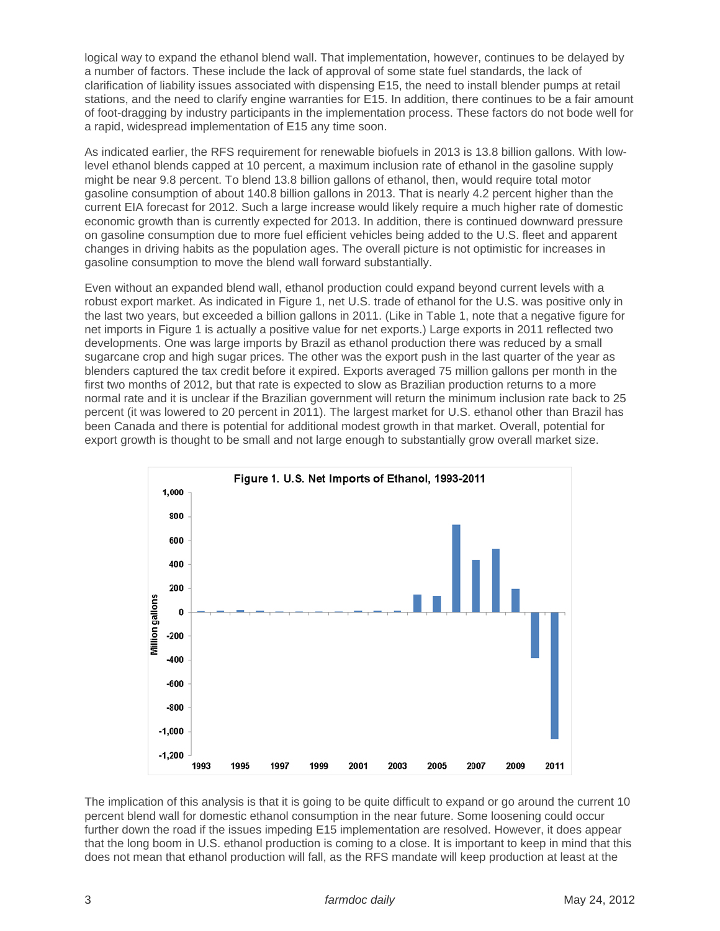logical way to expand the ethanol blend wall. That implementation, however, continues to be delayed by a number of factors. These include the lack of approval of some state fuel standards, the lack of clarification of liability issues associated with dispensing E15, the need to install blender pumps at retail stations, and the need to clarify engine warranties for E15. In addition, there continues to be a fair amount of foot-dragging by industry participants in the implementation process. These factors do not bode well for a rapid, widespread implementation of E15 any time soon.

As indicated earlier, the RFS requirement for renewable biofuels in 2013 is 13.8 billion gallons. With lowlevel ethanol blends capped at 10 percent, a maximum inclusion rate of ethanol in the gasoline supply might be near 9.8 percent. To blend 13.8 billion gallons of ethanol, then, would require total motor gasoline consumption of about 140.8 billion gallons in 2013. That is nearly 4.2 percent higher than the current EIA forecast for 2012. Such a large increase would likely require a much higher rate of domestic economic growth than is currently expected for 2013. In addition, there is continued downward pressure on gasoline consumption due to more fuel efficient vehicles being added to the U.S. fleet and apparent changes in driving habits as the population ages. The overall picture is not optimistic for increases in gasoline consumption to move the blend wall forward substantially.

Even without an expanded blend wall, ethanol production could expand beyond current levels with a robust export market. As indicated in Figure 1, net U.S. trade of ethanol for the U.S. was positive only in the last two years, but exceeded a billion gallons in 2011. (Like in Table 1, note that a negative figure for net imports in Figure 1 is actually a positive value for net exports.) Large exports in 2011 reflected two developments. One was large imports by Brazil as ethanol production there was reduced by a small sugarcane crop and high sugar prices. The other was the export push in the last quarter of the year as blenders captured the tax credit before it expired. Exports averaged 75 million gallons per month in the first two months of 2012, but that rate is expected to slow as Brazilian production returns to a more normal rate and it is unclear if the Brazilian government will return the minimum inclusion rate back to 25 percent (it was lowered to 20 percent in 2011). The largest market for U.S. ethanol other than Brazil has been Canada and there is potential for additional modest growth in that market. Overall, potential for export growth is thought to be small and not large enough to substantially grow overall market size.



The implication of this analysis is that it is going to be quite difficult to expand or go around the current 10 percent blend wall for domestic ethanol consumption in the near future. Some loosening could occur further down the road if the issues impeding E15 implementation are resolved. However, it does appear that the long boom in U.S. ethanol production is coming to a close. It is important to keep in mind that this does not mean that ethanol production will fall, as the RFS mandate will keep production at least at the